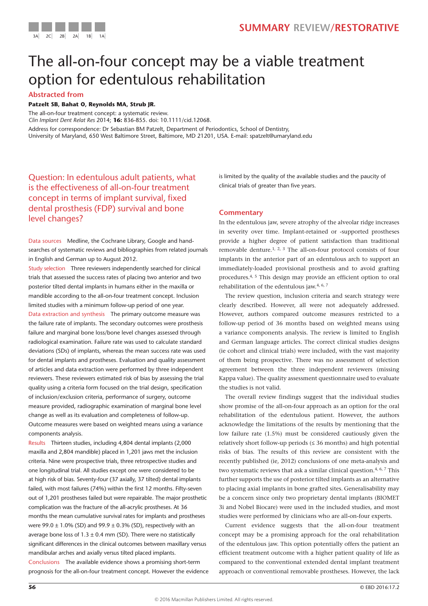



# The all-on-four concept may be a viable treatment option for edentulous rehabilitation

# **Abstracted from**

### **Patzelt SB, Bahat O, Reynolds MA, Strub JR.**

The all-on-four treatment concept: a systematic review. *Clin Implant Dent Relat Res* 2014; **16:** 836-855. doi: 10.1111/cid.12068. Address for correspondence: Dr Sebastian BM Patzelt, Department of Periodontics, School of Dentistry, University of Maryland, 650 West Baltimore Street, Baltimore, MD 21201, USA. E-mail: spatzelt@umaryland.edu

Question: In edentulous adult patients, what is the effectiveness of all-on-four treatment concept in terms of implant survival, fixed dental prosthesis (FDP) survival and bone level changes?

Data sources Medline, the Cochrane Library, Google and handsearches of systematic reviews and bibliographies from related journals in English and German up to August 2012.

Study selection Three reviewers independently searched for clinical trials that assessed the success rates of placing two anterior and two posterior tilted dental implants in humans either in the maxilla or mandible according to the all-on-four treatment concept. Inclusion limited studies with a minimum follow-up period of one year.

Data extraction and synthesis The primary outcome measure was the failure rate of implants. The secondary outcomes were prosthesis failure and marginal bone loss/bone level changes assessed through radiological examination. Failure rate was used to calculate standard deviations (SDs) of implants, whereas the mean success rate was used for dental implants and prostheses. Evaluation and quality assessment of articles and data extraction were performed by three independent reviewers. These reviewers estimated risk of bias by assessing the trial quality using a criteria form focused on the trial design, specification of inclusion/exclusion criteria, performance of surgery, outcome measure provided, radiographic examination of marginal bone level change as well as its evaluation and completeness of follow-up. Outcome measures were based on weighted means using a variance components analysis.

Results Thirteen studies, including 4,804 dental implants (2,000 maxilla and 2,804 mandible) placed in 1,201 jaws met the inclusion criteria. Nine were prospective trials, three retrospective studies and one longitudinal trial. All studies except one were considered to be at high risk of bias. Seventy-four (37 axially, 37 tilted) dental implants failed, with most failures (74%) within the first 12 months. Fifty-seven out of 1,201 prostheses failed but were repairable. The major prosthetic complication was the fracture of the all-acrylic prostheses. At 36 months the mean cumulative survival rates for implants and prostheses were 99.0  $\pm$  1.0% (SD) and 99.9  $\pm$  0.3% (SD), respectively with an average bone loss of  $1.3 \pm 0.4$  mm (SD). There were no statistically significant differences in the clinical outcomes between maxillary versus mandibular arches and axially versus tilted placed implants. Conclusions The available evidence shows a promising short-term prognosis for the all-on-four treatment concept. However the evidence is limited by the quality of the available studies and the paucity of clinical trials of greater than five years.

# **Commentary**

In the edentulous jaw, severe atrophy of the alveolar ridge increases in severity over time. Implant-retained or -supported prostheses provide a higher degree of patient satisfaction than traditional removable denture.<sup>1, 2, 3</sup> The all-on-four protocol consists of four implants in the anterior part of an edentulous arch to support an immediately-loaded provisional prosthesis and to avoid grafting procedures.4, 5 This design may provide an efficient option to oral rehabilitation of the edentulous jaw.4, 6, 7

The review question, inclusion criteria and search strategy were clearly described. However, all were not adequately addressed. However, authors compared outcome measures restricted to a follow-up period of 36 months based on weighted means using a variance components analysis. The review is limited to English and German language articles. The correct clinical studies designs (ie cohort and clinical trials) were included, with the vast majority of them being prospective. There was no assessment of selection agreement between the three independent reviewers (missing Kappa value). The quality assessment questionnaire used to evaluate the studies is not valid.

The overall review findings suggest that the individual studies show promise of the all-on-four approach as an option for the oral rehabilitation of the edentulous patient. However, the authors acknowledge the limitations of the results by mentioning that the low failure rate (1.5%) must be considered cautiously given the relatively short follow-up periods  $(\leq 36 \text{ months})$  and high potential risks of bias. The results of this review are consistent with the recently published (ie, 2012) conclusions of one meta-analysis and two systematic reviews that ask a similar clinical question.<sup>4, 6, 7</sup> This further supports the use of posterior tilted implants as an alternative to placing axial implants in bone grafted sites. Generalisability may be a concern since only two proprietary dental implants (BIOMET 3i and Nobel Biocare) were used in the included studies, and most studies were performed by clinicians who are all-on-four experts.

Current evidence suggests that the all-on-four treatment concept may be a promising approach for the oral rehabilitation of the edentulous jaw. This option potentially offers the patient an efficient treatment outcome with a higher patient quality of life as compared to the conventional extended dental implant treatment approach or conventional removable prostheses. However, the lack